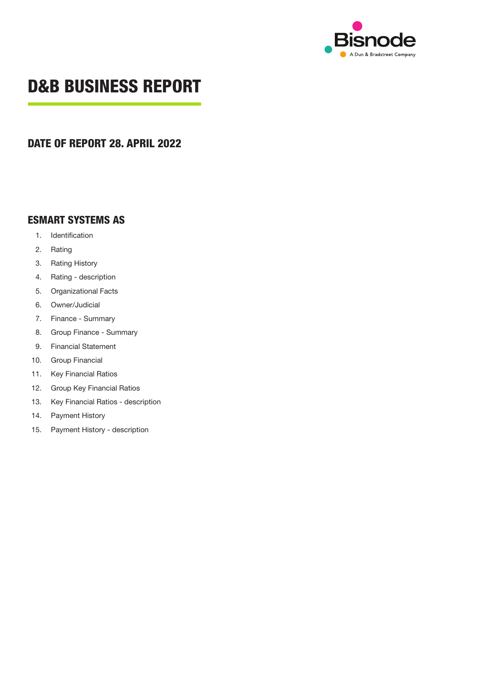

## **D&B BUSINESS REPORT**

### **DATE OF REPORT 28. APRIL 2022**

### **ESMART SYSTEMS AS**

- 1. Identification
- 2. Rating
- 3. Rating History
- 4. Rating description
- 5. Organizational Facts
- 6. Owner/Judicial
- 7. Finance Summary
- 8. Group Finance Summary
- 9. Financial Statement
- 10. Group Financial
- 11. Key Financial Ratios
- 12. Group Key Financial Ratios
- 13. Key Financial Ratios description
- 14. Payment History
- 15. Payment History description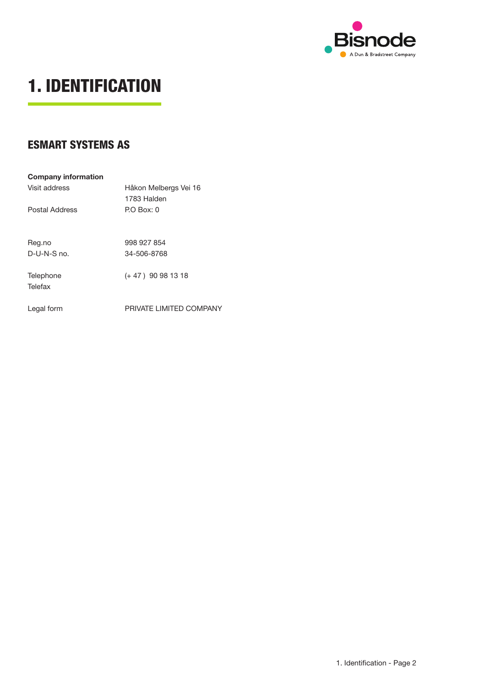

## **1. IDENTIFICATION**

### **ESMART SYSTEMS AS**

| <b>Company information</b> |                         |
|----------------------------|-------------------------|
| Visit address              | Håkon Melbergs Vei 16   |
|                            | 1783 Halden             |
| Postal Address             | P.O Box: 0              |
|                            |                         |
| Reg.no                     | 998 927 854             |
| $D$ -U-N-S no.             | 34-506-8768             |
|                            |                         |
| Telephone                  | $(+47)$ 90 98 13 18     |
| Telefax                    |                         |
|                            |                         |
| Legal form                 | PRIVATE LIMITED COMPANY |
|                            |                         |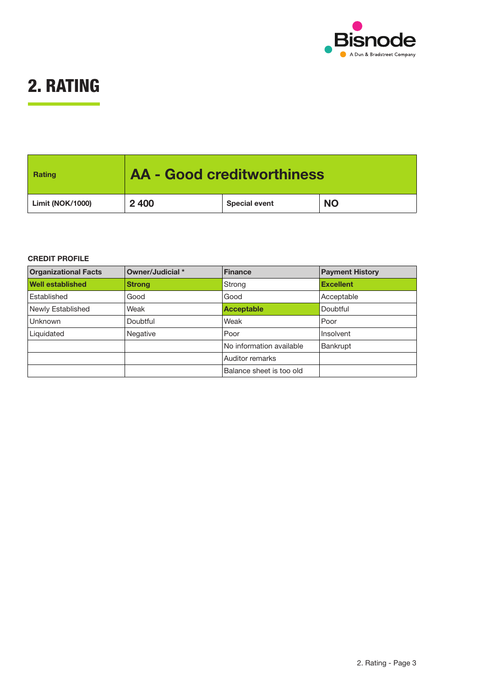

## **2. RATING**

| Rating                  | <b>AA - Good creditworthiness</b> |                      |           |  |
|-------------------------|-----------------------------------|----------------------|-----------|--|
| <b>Limit (NOK/1000)</b> | 2 4 0 0                           | <b>Special event</b> | <b>NO</b> |  |

#### **CREDIT PROFILE**

| <b>Organizational Facts</b> | Owner/Judicial * | <b>Finance</b>           | <b>Payment History</b> |
|-----------------------------|------------------|--------------------------|------------------------|
| <b>Well established</b>     | <b>Strong</b>    | Strong                   | <b>Excellent</b>       |
| Established                 | Good             | Good                     | Acceptable             |
| Newly Established           | Weak             | <b>Acceptable</b>        | Doubtful               |
| Unknown                     | Doubtful         | Weak                     | Poor                   |
| Liquidated                  | <b>Negative</b>  | Poor                     | Insolvent              |
|                             |                  | No information available | <b>Bankrupt</b>        |
|                             |                  | Auditor remarks          |                        |
|                             |                  | Balance sheet is too old |                        |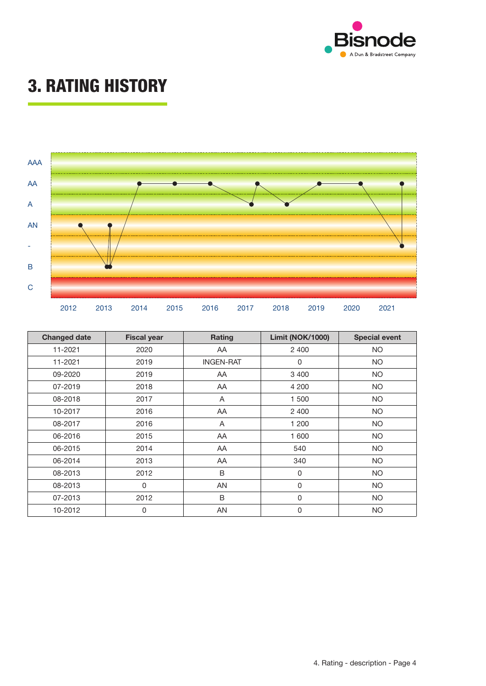

## **3. RATING HISTORY**



| <b>Changed date</b> | <b>Fiscal year</b> | Rating           | <b>Limit (NOK/1000)</b> | <b>Special event</b> |
|---------------------|--------------------|------------------|-------------------------|----------------------|
| 11-2021             | 2020               | AA.              | 2 4 0 0                 | NO.                  |
| 11-2021             | 2019               | <b>INGEN-RAT</b> | 0                       | <b>NO</b>            |
| 09-2020             | 2019               | AA               | 3 4 0 0                 | <b>NO</b>            |
| 07-2019             | 2018               | AA               | 4 200                   | <b>NO</b>            |
| 08-2018             | 2017               | A                | 1 500                   | <b>NO</b>            |
| 10-2017             | 2016               | AA               | 2 4 0 0                 | <b>NO</b>            |
| 08-2017             | 2016               | A                | 1 200                   | <b>NO</b>            |
| 06-2016             | 2015               | AA               | 1 600                   | <b>NO</b>            |
| 06-2015             | 2014               | AA               | 540                     | <b>NO</b>            |
| 06-2014             | 2013               | AA               | 340                     | <b>NO</b>            |
| 08-2013             | 2012               | B                | $\mathsf 0$             | <b>NO</b>            |
| 08-2013             | 0                  | AN               | $\pmb{0}$               | <b>NO</b>            |
| 07-2013             | 2012               | B                | $\mathbf 0$             | NO.                  |
| 10-2012             | 0                  | AN               | 0                       | NO.                  |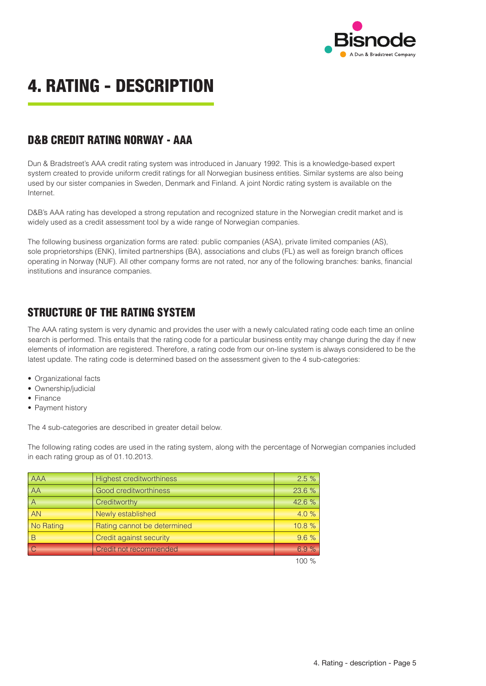

## **4. RATING - DESCRIPTION**

### D&B CREDIT RATING NORWAY - AAA

Dun & Bradstreet's AAA credit rating system was introduced in January 1992. This is a knowledge-based expert system created to provide uniform credit ratings for all Norwegian business entities. Similar systems are also being used by our sister companies in Sweden, Denmark and Finland. A joint Nordic rating system is available on the Internet.

D&B's AAA rating has developed a strong reputation and recognized stature in the Norwegian credit market and is widely used as a credit assessment tool by a wide range of Norwegian companies.

The following business organization forms are rated: public companies (ASA), private limited companies (AS), sole proprietorships (ENK), limited partnerships (BA), associations and clubs (FL) as well as foreign branch offices operating in Norway (NUF). All other company forms are not rated, nor any of the following branches: banks, financial institutions and insurance companies.

### STRUCTURE OF THE RATING SYSTEM

The AAA rating system is very dynamic and provides the user with a newly calculated rating code each time an online search is performed. This entails that the rating code for a particular business entity may change during the day if new elements of information are registered. Therefore, a rating code from our on-line system is always considered to be the latest update. The rating code is determined based on the assessment given to the 4 sub-categories:

- Organizational facts
- Ownership/judicial
- Finance
- Payment history

The 4 sub-categories are described in greater detail below.

The following rating codes are used in the rating system, along with the percentage of Norwegian companies included in each rating group as of 01.10.2013.

| <b>AAA</b> | <b>Highest creditworthiness</b> | 2.5%     |
|------------|---------------------------------|----------|
| AA         | Good creditworthiness           | 23.6 %   |
|            | Creditworthy                    | 42.6%    |
| <b>AN</b>  | Newly established               | 4.0%     |
| No Rating  | Rating cannot be determined     | 10.8%    |
| R          | Credit against security         | 9.6%     |
|            | Credit not recommended          | 6.9%     |
|            |                                 | $100 \%$ |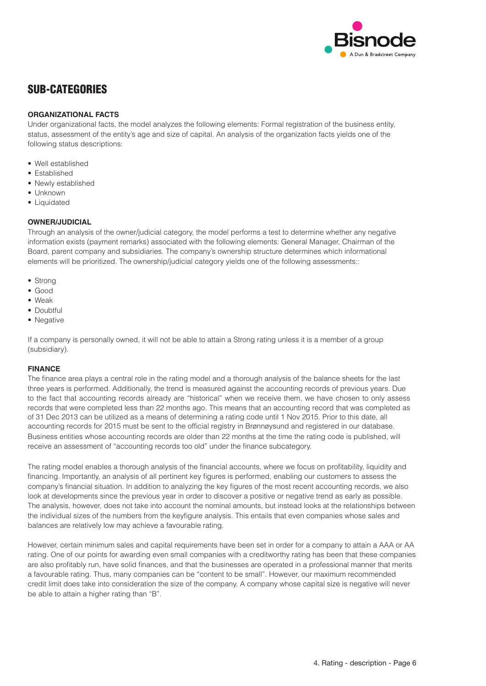

### SUB-CATEGORIES

#### **ORGANIZATIONAL FACTS**

Under organizational facts, the model analyzes the following elements: Formal registration of the business entity, status, assessment of the entity's age and size of capital. An analysis of the organization facts yields one of the following status descriptions:

- Well established
- Established
- Newly established
- Unknown
- Liquidated

#### **OWNER/JUDICIAL**

Through an analysis of the owner/judicial category, the model performs a test to determine whether any negative information exists (payment remarks) associated with the following elements: General Manager, Chairman of the Board, parent company and subsidiaries. The company's ownership structure determines which informational elements will be prioritized. The ownership/judicial category yields one of the following assessments::

- Strong
- Good
- Weak
- Doubtful
- Negative

If a company is personally owned, it will not be able to attain a Strong rating unless it is a member of a group (subsidiary).

#### **FINANCE**

The finance area plays a central role in the rating model and a thorough analysis of the balance sheets for the last three years is performed. Additionally, the trend is measured against the accounting records of previous years. Due to the fact that accounting records already are "historical" when we receive them, we have chosen to only assess records that were completed less than 22 months ago. This means that an accounting record that was completed as of 31 Dec 2013 can be utilized as a means of determining a rating code until 1 Nov 2015. Prior to this date, all accounting records for 2015 must be sent to the official registry in Brønnøysund and registered in our database. Business entities whose accounting records are older than 22 months at the time the rating code is published, will receive an assessment of "accounting records too old" under the finance subcategory.

The rating model enables a thorough analysis of the financial accounts, where we focus on profitability, liquidity and financing. Importantly, an analysis of all pertinent key figures is performed, enabling our customers to assess the company's financial situation. In addition to analyzing the key figures of the most recent accounting records, we also look at developments since the previous year in order to discover a positive or negative trend as early as possible. The analysis, however, does not take into account the nominal amounts, but instead looks at the relationships between the individual sizes of the numbers from the keyfigure analysis. This entails that even companies whose sales and balances are relatively low may achieve a favourable rating.

However, certain minimum sales and capital requirements have been set in order for a company to attain a AAA or AA rating. One of our points for awarding even small companies with a creditworthy rating has been that these companies are also profitably run, have solid finances, and that the businesses are operated in a professional manner that merits a favourable rating. Thus, many companies can be "content to be small". However, our maximum recommended credit limit does take into consideration the size of the company. A company whose capital size is negative will never be able to attain a higher rating than "B".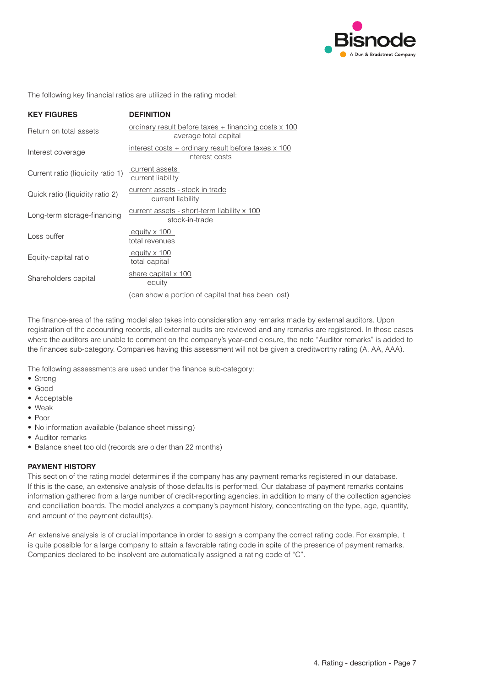

The following key financial ratios are utilized in the rating model:

| <b>KEY FIGURES</b>                | <b>DEFINITION</b>                                                             |
|-----------------------------------|-------------------------------------------------------------------------------|
| Return on total assets            | ordinary result before taxes + financing costs x 100<br>average total capital |
| Interest coverage                 | interest costs + ordinary result before taxes x 100<br>interest costs         |
| Current ratio (liquidity ratio 1) | current assets<br>current liability                                           |
| Quick ratio (liquidity ratio 2)   | current assets - stock in trade<br>current liability                          |
| Long-term storage-financing       | current assets - short-term liability x 100<br>stock-in-trade                 |
| Loss buffer                       | equity x 100<br>total revenues                                                |
| Equity-capital ratio              | equity x 100<br>total capital                                                 |
| Shareholders capital              | share capital x 100<br>equity                                                 |
|                                   | (can show a portion of capital that has been lost)                            |

The finance-area of the rating model also takes into consideration any remarks made by external auditors. Upon registration of the accounting records, all external audits are reviewed and any remarks are registered. In those cases where the auditors are unable to comment on the company's year-end closure, the note "Auditor remarks" is added to the finances sub-category. Companies having this assessment will not be given a creditworthy rating (A, AA, AAA).

The following assessments are used under the finance sub-category:

- Strong
- • Good
- Acceptable
- • Weak
- • Poor
- No information available (balance sheet missing)
- Auditor remarks
- Balance sheet too old (records are older than 22 months)

#### **PAYMENT HISTORY**

This section of the rating model determines if the company has any payment remarks registered in our database. If this is the case, an extensive analysis of those defaults is performed. Our database of payment remarks contains information gathered from a large number of credit-reporting agencies, in addition to many of the collection agencies and conciliation boards. The model analyzes a company's payment history, concentrating on the type, age, quantity, and amount of the payment default(s).

An extensive analysis is of crucial importance in order to assign a company the correct rating code. For example, it is quite possible for a large company to attain a favorable rating code in spite of the presence of payment remarks. Companies declared to be insolvent are automatically assigned a rating code of "C".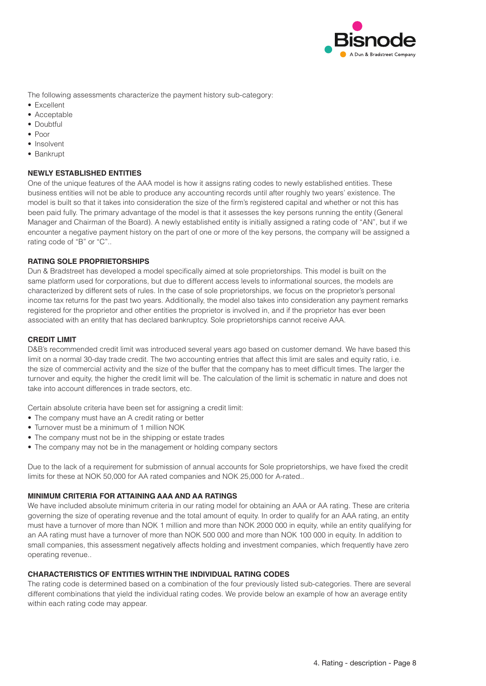

The following assessments characterize the payment history sub-category:

- Excellent
- Acceptable
- Doubtful
- • Poor
- Insolvent
- Bankrupt

#### **NEWLY ESTABLISHED ENTITIES**

One of the unique features of the AAA model is how it assigns rating codes to newly established entities. These business entities will not be able to produce any accounting records until after roughly two years' existence. The model is built so that it takes into consideration the size of the firm's registered capital and whether or not this has been paid fully. The primary advantage of the model is that it assesses the key persons running the entity (General Manager and Chairman of the Board). A newly established entity is initially assigned a rating code of "AN", but if we encounter a negative payment history on the part of one or more of the key persons, the company will be assigned a rating code of "B" or "C"..

#### **RATING SOLE PROPRIETORSHIPS**

Dun & Bradstreet has developed a model specifically aimed at sole proprietorships. This model is built on the same platform used for corporations, but due to different access levels to informational sources, the models are characterized by different sets of rules. In the case of sole proprietorships, we focus on the proprietor's personal income tax returns for the past two years. Additionally, the model also takes into consideration any payment remarks registered for the proprietor and other entities the proprietor is involved in, and if the proprietor has ever been associated with an entity that has declared bankruptcy. Sole proprietorships cannot receive AAA.

#### **CREDIT LIMIT**

D&B's recommended credit limit was introduced several years ago based on customer demand. We have based this limit on a normal 30-day trade credit. The two accounting entries that affect this limit are sales and equity ratio, i.e. the size of commercial activity and the size of the buffer that the company has to meet difficult times. The larger the turnover and equity, the higher the credit limit will be. The calculation of the limit is schematic in nature and does not take into account differences in trade sectors, etc.

Certain absolute criteria have been set for assigning a credit limit:

- The company must have an A credit rating or better
- Turnover must be a minimum of 1 million NOK
- The company must not be in the shipping or estate trades
- The company may not be in the management or holding company sectors

Due to the lack of a requirement for submission of annual accounts for Sole proprietorships, we have fixed the credit limits for these at NOK 50,000 for AA rated companies and NOK 25,000 for A-rated..

#### **MINIMUM CRITERIA FOR ATTAINING AAA AND AA RATINGS**

We have included absolute minimum criteria in our rating model for obtaining an AAA or AA rating. These are criteria governing the size of operating revenue and the total amount of equity. In order to qualify for an AAA rating, an entity must have a turnover of more than NOK 1 million and more than NOK 2000 000 in equity, while an entity qualifying for an AA rating must have a turnover of more than NOK 500 000 and more than NOK 100 000 in equity. In addition to small companies, this assessment negatively affects holding and investment companies, which frequently have zero operating revenue..

#### **CHARACTERISTICS OF ENTITIES WITHIN THE INDIVIDUAL RATING CODES**

The rating code is determined based on a combination of the four previously listed sub-categories. There are several different combinations that yield the individual rating codes. We provide below an example of how an average entity within each rating code may appear.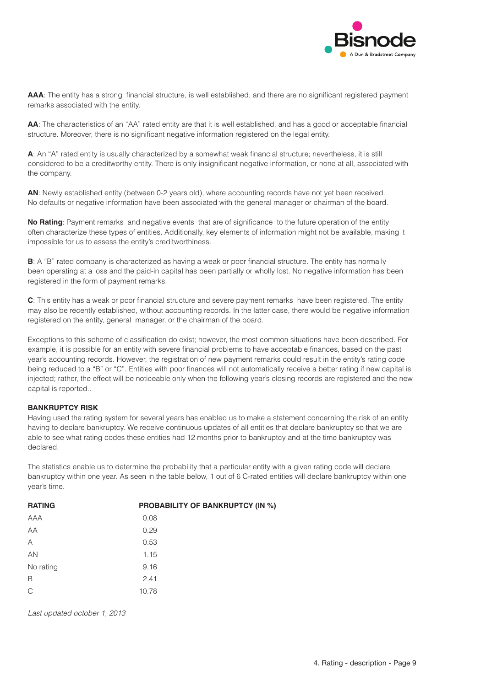

**AAA**: The entity has a strong financial structure, is well established, and there are no significant registered payment remarks associated with the entity.

**AA**: The characteristics of an "AA" rated entity are that it is well established, and has a good or acceptable financial structure. Moreover, there is no significant negative information registered on the legal entity.

**A**: An "A" rated entity is usually characterized by a somewhat weak financial structure; nevertheless, it is still considered to be a creditworthy entity. There is only insignificant negative information, or none at all, associated with the company.

**AN**: Newly established entity (between 0-2 years old), where accounting records have not yet been received. No defaults or negative information have been associated with the general manager or chairman of the board.

**No Rating**: Payment remarks and negative events that are of significance to the future operation of the entity often characterize these types of entities. Additionally, key elements of information might not be available, making it impossible for us to assess the entity's creditworthiness.

**B**: A "B" rated company is characterized as having a weak or poor financial structure. The entity has normally been operating at a loss and the paid-in capital has been partially or wholly lost. No negative information has been registered in the form of payment remarks.

**C**: This entity has a weak or poor financial structure and severe payment remarks have been registered. The entity may also be recently established, without accounting records. In the latter case, there would be negative information registered on the entity, general manager, or the chairman of the board.

Exceptions to this scheme of classification do exist; however, the most common situations have been described. For example, it is possible for an entity with severe financial problems to have acceptable finances, based on the past year's accounting records. However, the registration of new payment remarks could result in the entity's rating code being reduced to a "B" or "C". Entities with poor finances will not automatically receive a better rating if new capital is injected; rather, the effect will be noticeable only when the following year's closing records are registered and the new capital is reported..

#### **BANKRUPTCY RISK**

Having used the rating system for several years has enabled us to make a statement concerning the risk of an entity having to declare bankruptcy. We receive continuous updates of all entities that declare bankruptcy so that we are able to see what rating codes these entities had 12 months prior to bankruptcy and at the time bankruptcy was declared.

The statistics enable us to determine the probability that a particular entity with a given rating code will declare bankruptcy within one year. As seen in the table below, 1 out of 6 C-rated entities will declare bankruptcy within one year's time.

| <b>RATING</b> | <b>PROBABILITY OF BANKRUPTCY (IN %)</b> |
|---------------|-----------------------------------------|
| AAA           | 0.08                                    |
| AA            | 0.29                                    |
| Α             | 0.53                                    |
| AN            | 1.15                                    |
| No rating     | 9.16                                    |
| B             | 2.41                                    |
| $\mathsf{C}$  | 10.78                                   |

*Last updated october 1, 2013*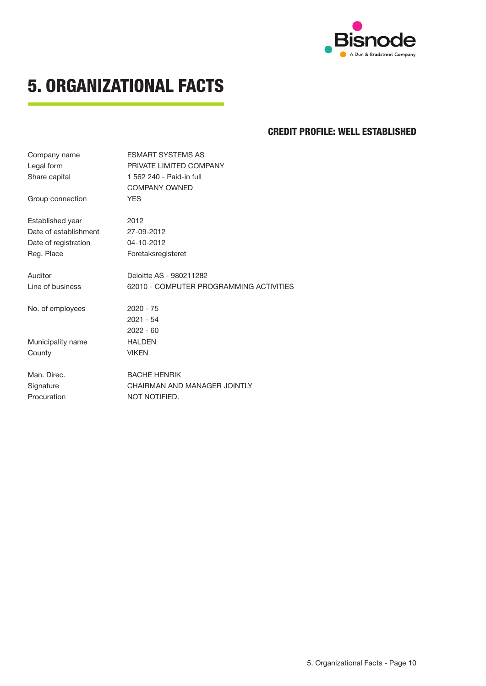

## **5. ORGANIZATIONAL FACTS**

### **CREDIT PROFILE: WELL ESTABLISHED**

| Company name          | <b>ESMART SYSTEMS AS</b>                |
|-----------------------|-----------------------------------------|
| Legal form            | PRIVATE LIMITED COMPANY                 |
| Share capital         | 1 562 240 - Paid-in full                |
|                       | <b>COMPANY OWNED</b>                    |
| Group connection      | <b>YES</b>                              |
| Established year      | 2012                                    |
| Date of establishment | 27-09-2012                              |
| Date of registration  | 04-10-2012                              |
| Reg. Place            | Foretaksregisteret                      |
| Auditor               | Deloitte AS - 980211282                 |
| Line of business      | 62010 - COMPUTER PROGRAMMING ACTIVITIES |
| No. of employees      | $2020 - 75$                             |
|                       | $2021 - 54$                             |
|                       | $2022 - 60$                             |
| Municipality name     | <b>HALDEN</b>                           |
| County                | <b>VIKEN</b>                            |
| Man. Direc.           | <b>BACHE HENRIK</b>                     |
| Signature             | CHAIRMAN AND MANAGER JOINTLY            |
| Procuration           | NOT NOTIFIED.                           |
|                       |                                         |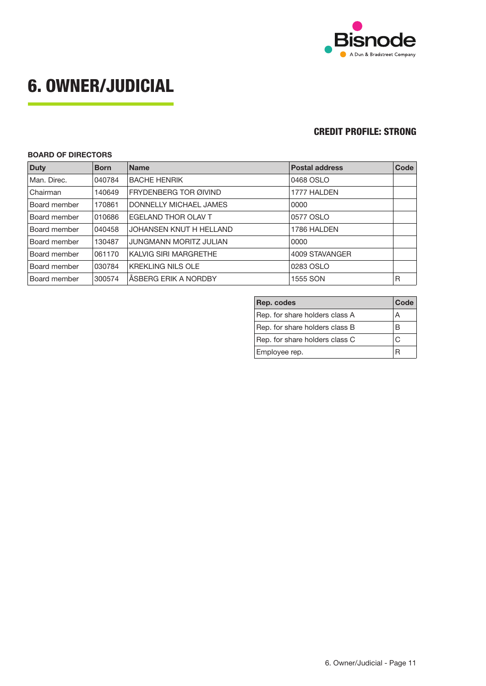

## **6. OWNER/JUDICIAL**

### **CREDIT PROFILE: STRONG**

#### **BOARD OF DIRECTORS**

| <b>Duty</b>         | <b>Born</b> | <b>Name</b>                   | <b>Postal address</b> | Code |
|---------------------|-------------|-------------------------------|-----------------------|------|
| Man. Direc.         | 040784      | <b>BACHE HENRIK</b>           | 0468 OSLO             |      |
| <b>Chairman</b>     | 140649      | FRYDENBERG TOR ØIVIND         | 1777 HALDEN           |      |
| <b>Board member</b> | 170861      | DONNELLY MICHAEL JAMES        | 0000                  |      |
| <b>Board member</b> | 010686      | EGELAND THOR OLAV T           | 0577 OSLO             |      |
| <b>Board member</b> | 040458      | JOHANSEN KNUT H HELLAND       | 1786 HALDEN           |      |
| <b>Board member</b> | 130487      | <b>JUNGMANN MORITZ JULIAN</b> | 0000                  |      |
| <b>Board member</b> | 061170      | KALVIG SIRI MARGRETHE         | 4009 STAVANGER        |      |
| <b>Board member</b> | 030784      | <b>KREKLING NILS OLE</b>      | 0283 OSLO             |      |
| <b>Board member</b> | 300574      | ÅSBERG ERIK A NORDBY          | 1555 SON              | R    |

| Rep. codes<br>Code             |    |
|--------------------------------|----|
| Rep. for share holders class A | А  |
| Rep. for share holders class B | в  |
| Rep. for share holders class C | C, |
| Employee rep.                  |    |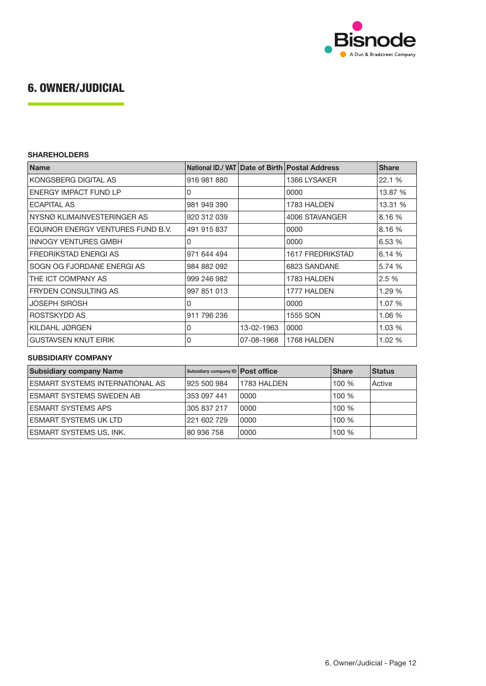

## **6. OWNER/JUDICIAL**

#### **SHAREHOLDERS**

| <b>Name</b>                       |             |            | National ID./ VAT Date of Birth Postal Address | <b>Share</b> |
|-----------------------------------|-------------|------------|------------------------------------------------|--------------|
| KONGSBERG DIGITAL AS              | 916 981 880 |            | 1366 LYSAKER                                   | 22.1 %       |
| ENERGY IMPACT FUND LP             | 0           |            | 0000                                           | 13.87 %      |
| <b>ECAPITAL AS</b>                | 981 949 390 |            | 1783 HALDEN                                    | 13.31 %      |
| NYSNØ KLIMAINVESTERINGER AS       | 920 312 039 |            | 4006 STAVANGER                                 | 8.16 %       |
| EQUINOR ENERGY VENTURES FUND B.V. | 491 915 837 |            | 0000                                           | 8.16 %       |
| <b>INNOGY VENTURES GMBH</b>       | $\Omega$    |            | 0000                                           | 6.53 %       |
| FREDRIKSTAD ENERGI AS             | 971 644 494 |            | <b>1617 FREDRIKSTAD</b>                        | 6.14 %       |
| SOGN OG FJORDANE ENERGI AS        | 984 882 092 |            | 6823 SANDANE                                   | 5.74 %       |
| THE ICT COMPANY AS                | 999 246 982 |            | 1783 HALDEN                                    | 2.5 %        |
| <b>FRYDEN CONSULTING AS</b>       | 997 851 013 |            | 1777 HALDEN                                    | 1.29 %       |
| <b>JOSEPH SIROSH</b>              | 0           |            | 0000                                           | 1.07%        |
| ROSTSKYDD AS                      | 911 796 236 |            | 1555 SON                                       | 1.06 %       |
| KILDAHL JØRGEN                    | 0           | 13-02-1963 | 0000                                           | 1.03%        |
| <b>GUSTAVSEN KNUT EIRIK</b>       | 0           | 07-08-1968 | 1768 HALDEN                                    | 1.02%        |

#### **SUBSIDIARY COMPANY**

| <b>Subsidiary company Name</b>         | Subsidiary company ID   Post office |             | <b>Share</b> | <b>Status</b> |
|----------------------------------------|-------------------------------------|-------------|--------------|---------------|
| <b>ESMART SYSTEMS INTERNATIONAL AS</b> | 925 500 984                         | 1783 HALDEN | 100%         | Active        |
| ESMART SYSTEMS SWEDEN AB               | 353 097 441                         | 0000        | 100 %        |               |
| <b>ESMART SYSTEMS APS</b>              | 305 837 217                         | 0000        | 100 %        |               |
| <b>ESMART SYSTEMS UK LTD</b>           | 221 602 729                         | 0000        | 100 %        |               |
| <b>ESMART SYSTEMS US, INK.</b>         | 80 936 758                          | 0000        | 100 %        |               |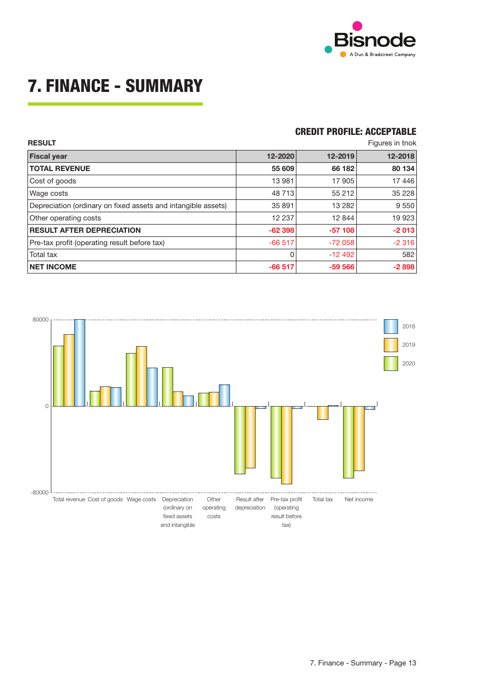

# **7. FINANCE - SUMMARY**

### **CREDIT PROFILE: ACCEPTABLE**

| <b>RESULT</b>                                                 |          |          | Figures in tnok |
|---------------------------------------------------------------|----------|----------|-----------------|
| <b>Fiscal year</b>                                            | 12-2020  | 12-2019  | 12-2018         |
| <b>TOTAL REVENUE</b>                                          | 55 609   | 66 182   | 80 134          |
| Cost of goods                                                 | 13 981   | 17 905   | 17446           |
| Wage costs                                                    | 48 713   | 55 212   | 35 228          |
| Depreciation (ordinary on fixed assets and intangible assets) | 35 891   | 13 2 8 2 | 9 5 5 0         |
| Other operating costs                                         | 12 237   | 12 844   | 19 923          |
| <b>RESULT AFTER DEPRECIATION</b>                              | $-62398$ | $-57108$ | $-2013$         |
| Pre-tax profit (operating result before tax)                  | $-66517$ | $-72058$ | $-2316$         |
| Total tax                                                     | 0        | $-12492$ | 582             |
| <b>NET INCOME</b>                                             | $-66517$ | $-59566$ | $-2898$         |

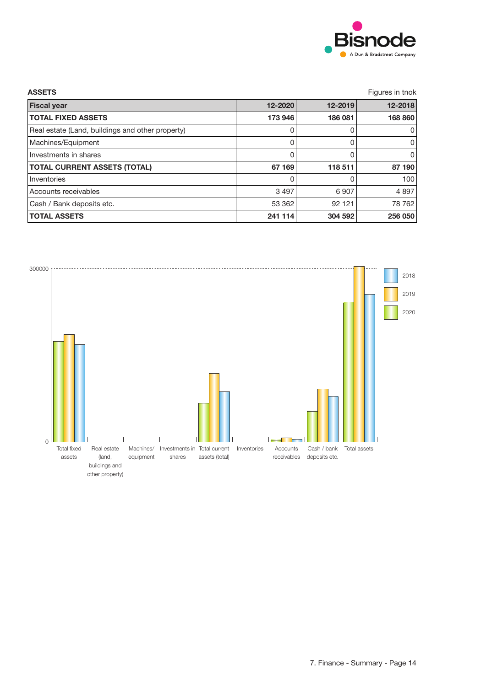

| <b>ASSETS</b>                                    |         |         | Figures in tnok |
|--------------------------------------------------|---------|---------|-----------------|
| <b>Fiscal year</b>                               | 12-2020 | 12-2019 | 12-2018         |
| <b>TOTAL FIXED ASSETS</b>                        | 173 946 | 186 081 | 168 860         |
| Real estate (Land, buildings and other property) | 0       | 0       | 0               |
| Machines/Equipment                               | 0       | 0       | 0               |
| Investments in shares                            | 0       | 0       | 0               |
| <b>TOTAL CURRENT ASSETS (TOTAL)</b>              | 67 169  | 118 511 | 87 190          |
| Inventories                                      | 0       | 0       | 100             |
| Accounts receivables                             | 3 4 9 7 | 6907    | 4897            |
| Cash / Bank deposits etc.                        | 53 362  | 92 121  | 78 762          |
| <b>TOTAL ASSETS</b>                              | 241 114 | 304 592 | 256 050         |

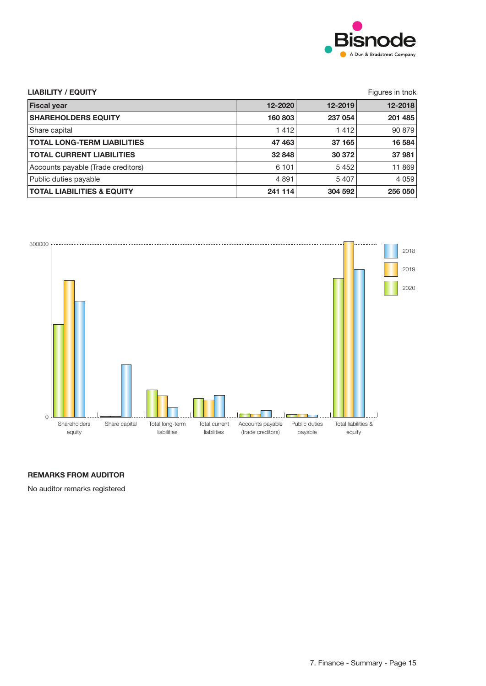

| <b>LIABILITY / EQUITY</b>             |         |         | Figures in tnok |
|---------------------------------------|---------|---------|-----------------|
| <b>Fiscal year</b>                    | 12-2020 | 12-2019 | 12-2018         |
| <b>SHAREHOLDERS EQUITY</b>            | 160 803 | 237 054 | 201 485         |
| Share capital                         | 1412    | 1412    | 90 879          |
| <b>TOTAL LONG-TERM LIABILITIES</b>    | 47 463  | 37 165  | 16 584          |
| <b>TOTAL CURRENT LIABILITIES</b>      | 32 848  | 30 372  | 37 981          |
| Accounts payable (Trade creditors)    | 6 1 0 1 | 5452    | 11 869          |
| Public duties payable                 | 4 8 9 1 | 5407    | 4 0 5 9         |
| <b>TOTAL LIABILITIES &amp; EQUITY</b> | 241 114 | 304 592 | 256 050         |



### **REMARKS FROM AUDITOR**

No auditor remarks registered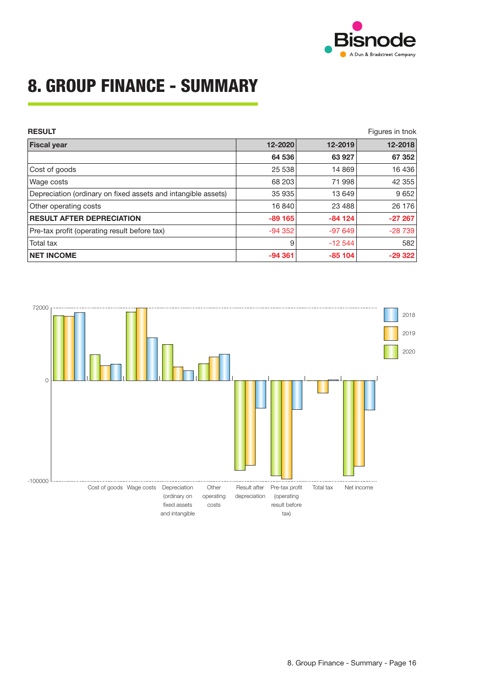

## **8. GROUP FINANCE - SUMMARY**

| <b>RESULT</b>                                                 |          |          | Figures in tnok |
|---------------------------------------------------------------|----------|----------|-----------------|
| <b>Fiscal year</b>                                            | 12-2020  | 12-2019  | 12-2018         |
|                                                               | 64 536   | 63 927   | 67 352          |
| Cost of goods                                                 | 25 538   | 14 8 69  | 16 4 36         |
| Wage costs                                                    | 68 203   | 71 998   | 42 355          |
| Depreciation (ordinary on fixed assets and intangible assets) | 35 935   | 13 649   | 9 6 5 2         |
| Other operating costs                                         | 16840    | 23 4 88  | 26 176          |
| <b>RESULT AFTER DEPRECIATION</b>                              | $-89165$ | $-84124$ | $-27267$        |
| Pre-tax profit (operating result before tax)                  | $-94352$ | $-97649$ | $-28739$        |
| Total tax                                                     | 9        | $-12544$ | 582             |
| <b>NET INCOME</b>                                             | $-94361$ | $-85104$ | $-29322$        |

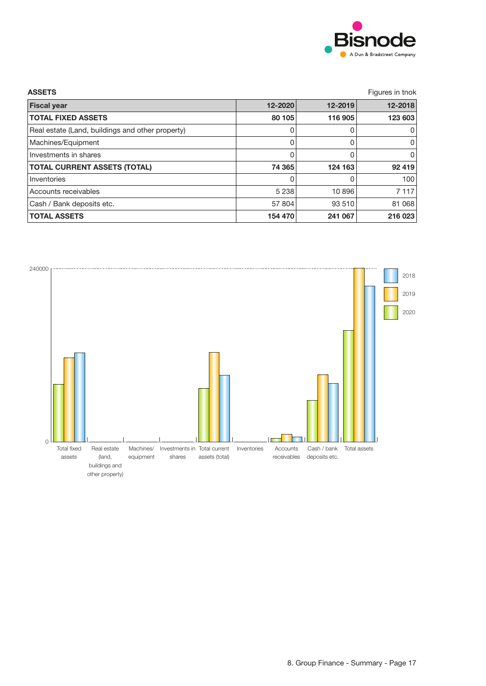

| <b>ASSETS</b>                                    |         |         | Figures in tnok |
|--------------------------------------------------|---------|---------|-----------------|
| <b>Fiscal year</b>                               | 12-2020 | 12-2019 | 12-2018         |
| <b>TOTAL FIXED ASSETS</b>                        | 80 105  | 116 905 | 123 603         |
| Real estate (Land, buildings and other property) |         | 0       | 0               |
| Machines/Equipment                               | 0       | 0       | 0               |
| Investments in shares                            | 0       | 0       | 0               |
| <b>TOTAL CURRENT ASSETS (TOTAL)</b>              | 74 365  | 124 163 | 92 419          |
| Inventories                                      | 0       | 0       | 100             |
| Accounts receivables                             | 5 2 3 8 | 10 896  | 7 1 1 7         |
| Cash / Bank deposits etc.                        | 57 804  | 93 510  | 81 068          |
| <b>TOTAL ASSETS</b>                              | 154 470 | 241 067 | 216 023         |

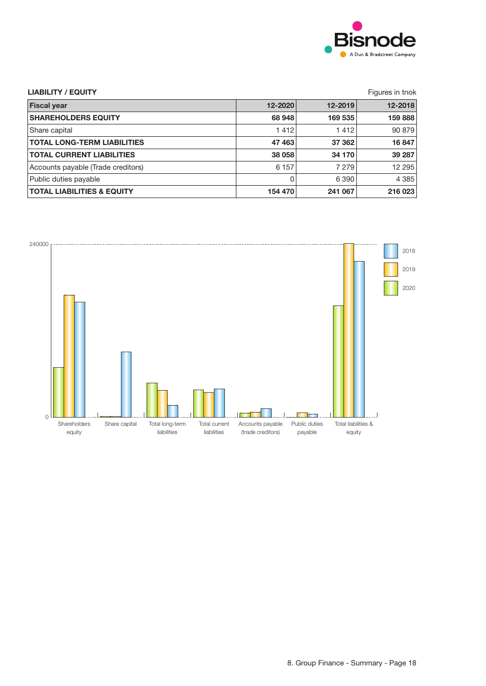

| <b>LIABILITY / EQUITY</b>             | Figures in tnok |         |         |
|---------------------------------------|-----------------|---------|---------|
| <b>Fiscal year</b>                    | 12-2020         | 12-2019 | 12-2018 |
| <b>SHAREHOLDERS EQUITY</b>            | 68 948          | 169 535 | 159888  |
| Share capital                         | 1412            | 1412    | 90 879  |
| <b>TOTAL LONG-TERM LIABILITIES</b>    | 47 463          | 37 362  | 16847   |
| <b>TOTAL CURRENT LIABILITIES</b>      | 38 058          | 34 170  | 39 287  |
| Accounts payable (Trade creditors)    | 6 1 5 7         | 7 2 7 9 | 12 295  |
| Public duties payable                 | 0               | 6 3 9 0 | 4 3 8 5 |
| <b>TOTAL LIABILITIES &amp; EQUITY</b> | 154 470         | 241 067 | 216 023 |

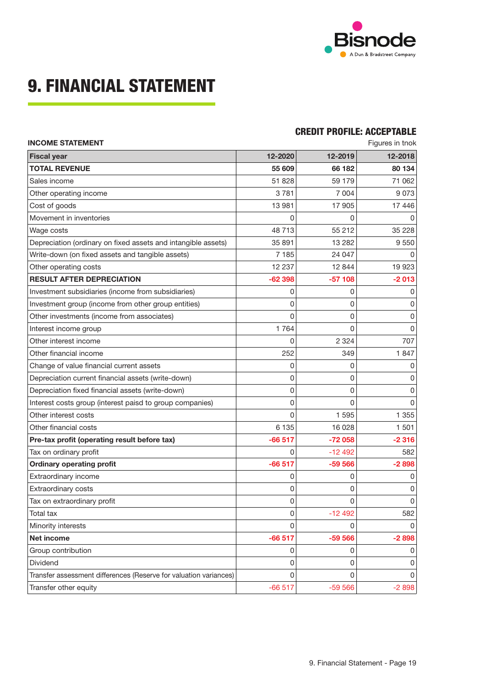

## **9. FINANCIAL STATEMENT**

### **CREDIT PROFILE: ACCEPTABLE**

| <b>INCOME STATEMENT</b>                                           |          | Figures in tnok |         |
|-------------------------------------------------------------------|----------|-----------------|---------|
| <b>Fiscal year</b>                                                | 12-2020  | 12-2019         | 12-2018 |
| <b>TOTAL REVENUE</b>                                              | 55 609   | 66 182          | 80 134  |
| Sales income                                                      | 51828    | 59 179          | 71 062  |
| Other operating income                                            | 3781     | 7 0 0 4         | 9073    |
| Cost of goods                                                     | 13 981   | 17 905          | 17 446  |
| Movement in inventories                                           | 0        | 0               | 0       |
| Wage costs                                                        | 48713    | 55 212          | 35 228  |
| Depreciation (ordinary on fixed assets and intangible assets)     | 35 891   | 13 282          | 9 5 5 0 |
| Write-down (on fixed assets and tangible assets)                  | 7 1 8 5  | 24 047          | 0       |
| Other operating costs                                             | 12 237   | 12 844          | 19 923  |
| <b>RESULT AFTER DEPRECIATION</b>                                  | $-62398$ | $-57108$        | $-2013$ |
| Investment subsidiaries (income from subsidiaries)                | 0        | 0               | 0       |
| Investment group (income from other group entities)               | 0        | 0               | 0       |
| Other investments (income from associates)                        | 0        | 0               | 0       |
| Interest income group                                             | 1764     | 0               | 0       |
| Other interest income                                             | 0        | 2 3 2 4         | 707     |
| Other financial income                                            | 252      | 349             | 1847    |
| Change of value financial current assets                          | 0        | 0               | 0       |
| Depreciation current financial assets (write-down)                | 0        | 0               | 0       |
| Depreciation fixed financial assets (write-down)                  | 0        | 0               | 0       |
| Interest costs group (interest paisd to group companies)          | 0        | 0               | 0       |
| Other interest costs                                              | 0        | 1 5 9 5         | 1 3 5 5 |
| Other financial costs                                             | 6 1 3 5  | 16 0 28         | 1 501   |
| Pre-tax profit (operating result before tax)                      | $-66517$ | $-72058$        | $-2316$ |
| Tax on ordinary profit                                            | 0        | $-12492$        | 582     |
| <b>Ordinary operating profit</b>                                  | $-66517$ | $-59566$        | $-2898$ |
| Extraordinary income                                              | 0        | 0               | 0       |
| Extraordinary costs                                               | 0        | 0               | 0       |
| Tax on extraordinary profit                                       | 0        | 0               | 0       |
| Total tax                                                         | 0        | $-12492$        | 582     |
| Minority interests                                                | 0        | 0               | 0       |
| <b>Net income</b>                                                 | $-66517$ | $-59566$        | $-2898$ |
| Group contribution                                                | 0        | 0               | 0       |
| Dividend                                                          | 0        | 0               | 0       |
| Transfer assessment differences (Reserve for valuation variances) | 0        | 0               | 0       |
| Transfer other equity                                             | $-66517$ | $-59566$        | $-2898$ |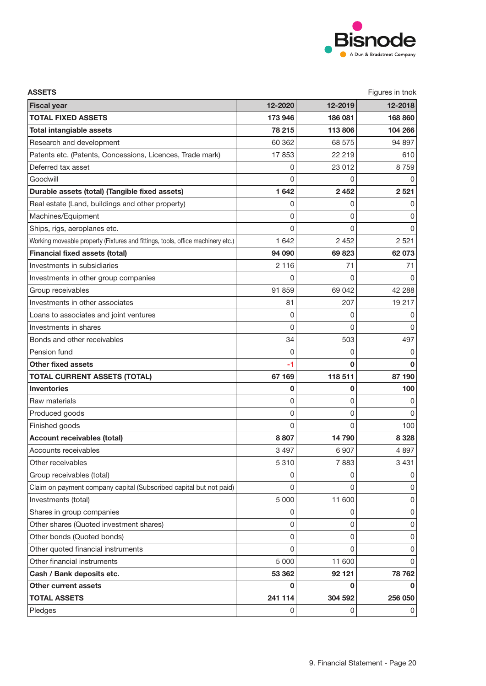

| <b>ASSETS</b>                                                                   |              |          | Figures in tnok |
|---------------------------------------------------------------------------------|--------------|----------|-----------------|
| <b>Fiscal year</b>                                                              | 12-2020      | 12-2019  | 12-2018         |
| <b>TOTAL FIXED ASSETS</b>                                                       | 173 946      | 186 081  | 168 860         |
| <b>Total intangiable assets</b>                                                 | 78 215       | 113 806  | 104 266         |
| Research and development                                                        | 60 362       | 68 575   | 94 897          |
| Patents etc. (Patents, Concessions, Licences, Trade mark)                       | 17853        | 22 219   | 610             |
| Deferred tax asset                                                              | 0            | 23 012   | 8759            |
| Goodwill                                                                        | $\Omega$     | 0        | 0               |
| Durable assets (total) (Tangible fixed assets)                                  | 1 642        | 2 4 5 2  | 2 5 21          |
| Real estate (Land, buildings and other property)                                | 0            | 0        | 0               |
| Machines/Equipment                                                              | 0            | 0        | 0               |
| Ships, rigs, aeroplanes etc.                                                    | 0            | 0        | 0               |
| Working moveable property (Fixtures and fittings, tools, office machinery etc.) | 1 6 4 2      | 2 4 5 2  | 2 5 2 1         |
| <b>Financial fixed assets (total)</b>                                           | 94 090       | 69823    | 62 073          |
| Investments in subsidiaries                                                     | 2 1 1 6      | 71       | 71              |
| Investments in other group companies                                            | 0            | 0        | 0               |
| Group receivables                                                               | 91 859       | 69 042   | 42 288          |
| Investments in other associates                                                 | 81           | 207      | 19 217          |
| Loans to associates and joint ventures                                          | 0            | 0        | 0               |
| Investments in shares                                                           | 0            | 0        | 0               |
| Bonds and other receivables                                                     | 34           | 503      | 497             |
| Pension fund                                                                    | 0            | 0        | 0               |
| <b>Other fixed assets</b>                                                       | -1           | 0        |                 |
| <b>TOTAL CURRENT ASSETS (TOTAL)</b>                                             | 67 169       | 118 511  | 87 190          |
| <b>Inventories</b>                                                              | 0            | 0        | 100             |
| Raw materials                                                                   | 0            | 0        | 0               |
| Produced goods                                                                  | 0            | 0        | 0               |
| Finished goods                                                                  | $\mathbf{0}$ | 0        | 100             |
| <b>Account receivables (total)</b>                                              | 8807         | 14 790   | 8 3 28          |
| Accounts receivables                                                            | 3 4 9 7      | 6 9 0 7  | 4897            |
| Other receivables                                                               | 5 3 1 0      | 7883     | 3 4 3 1         |
| Group receivables (total)                                                       | 0            | 0        | 0               |
| Claim on payment company capital (Subscribed capital but not paid)              | 0            | $\Omega$ | 0               |
| Investments (total)                                                             | 5 0 0 0      | 11 600   | 0               |
| Shares in group companies                                                       | 0            | 0        | 0               |
| Other shares (Quoted investment shares)                                         | 0            | 0        | 0               |
| Other bonds (Quoted bonds)                                                      | 0            | 0        | 0               |
| Other quoted financial instruments                                              | $\Omega$     | $\Omega$ | 0               |
| Other financial instruments                                                     | 5 0 0 0      | 11 600   | 0               |
| Cash / Bank deposits etc.                                                       | 53 362       | 92 121   | 78 762          |
| Other current assets                                                            | 0            | 0        | 0               |
| <b>TOTAL ASSETS</b>                                                             | 241 114      | 304 592  | 256 050         |
| Pledges                                                                         | 0            | 0        | 0               |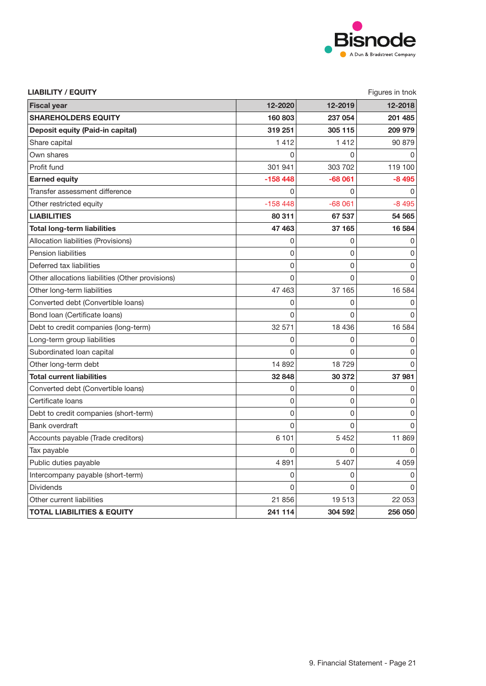

| <b>LIABILITY / EQUITY</b>                        | Figures in tnok |             |                                                       |
|--------------------------------------------------|-----------------|-------------|-------------------------------------------------------|
| <b>Fiscal year</b>                               | 12-2020         | 12-2019     | 12-2018                                               |
| <b>SHAREHOLDERS EQUITY</b>                       | 160 803         | 237 054     | 201 485                                               |
| Deposit equity (Paid-in capital)                 | 319 251         | 305 115     | 209 979                                               |
| Share capital                                    | 1412            | 1412        | 90 879                                                |
| Own shares                                       | O               | 0           | 0                                                     |
| Profit fund                                      | 301 941         | 303 702     | 119 100                                               |
| <b>Earned equity</b>                             | $-158448$       | $-68061$    | $-8495$                                               |
| Transfer assessment difference                   | 0               | 0           | 0                                                     |
| Other restricted equity                          | $-158448$       | $-68061$    | $-8495$                                               |
| <b>LIABILITIES</b>                               | 80 311          | 67 537      | 54 565                                                |
| <b>Total long-term liabilities</b>               | 47 463          | 37 165      | 16 584                                                |
| Allocation liabilities (Provisions)              | 0               | 0           | 0                                                     |
| <b>Pension liabilities</b>                       | 0               | 0           | 0                                                     |
| Deferred tax liabilities                         | 0               | $\mathbf 0$ | $\overline{0}$                                        |
| Other allocations liabilities (Other provisions) | $\mathbf{0}$    | 0           | 0                                                     |
| Other long-term liabilities                      | 47 463          | 37 165      | 16 584                                                |
| Converted debt (Convertible loans)               | 0               | 0           | $\overline{0}$                                        |
| Bond Ioan (Certificate Ioans)                    | $\Omega$        | 0           | $\overline{0}$                                        |
| Debt to credit companies (long-term)             | 32 571          | 18 4 36     | 16 584                                                |
| Long-term group liabilities                      | 0               | 0           | 0                                                     |
| Subordinated loan capital                        | 0               | 0           | $\overline{0}$                                        |
| Other long-term debt                             | 14 892          | 18729       | $\overline{0}$                                        |
| <b>Total current liabilities</b>                 | 32 848          | 30 372      | 37 981                                                |
| Converted debt (Convertible loans)               | 0               | 0           | 0                                                     |
| Certificate loans                                | 0               | 0           | 0                                                     |
| Debt to credit companies (short-term)            | 0               | 0           | 0                                                     |
| Bank overdraft                                   | 0               | 0           | 0                                                     |
| Accounts payable (Trade creditors)               | 6 101           | 5 4 5 2     | 11 869                                                |
| Tax payable                                      | 0               | 0           | $\mathsf{O}\!\!\!\!\rule{0.3pt}{1.1ex}\hspace{0.5pt}$ |
| Public duties payable                            | 4891            | 5 4 0 7     | 4 0 5 9                                               |
| Intercompany payable (short-term)                | 0               | 0           | $\overline{0}$                                        |
| <b>Dividends</b>                                 | 0               | 0           | $\overline{0}$                                        |
| Other current liabilities                        | 21 856          | 19513       | 22 053                                                |
| <b>TOTAL LIABILITIES &amp; EQUITY</b>            | 241 114         | 304 592     | 256 050                                               |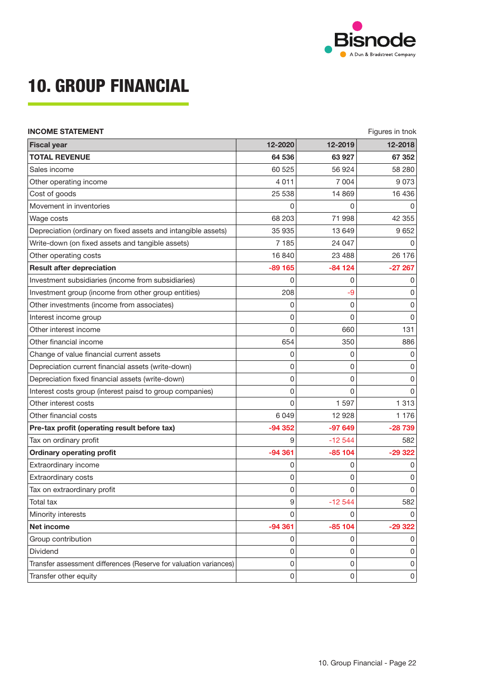

# **10. GROUP FINANCIAL**

| <b>INCOME STATEMENT</b>                                           |              | Figures in tnok     |                                                       |
|-------------------------------------------------------------------|--------------|---------------------|-------------------------------------------------------|
| <b>Fiscal year</b>                                                | 12-2020      | 12-2019             | 12-2018                                               |
| <b>TOTAL REVENUE</b>                                              | 64 536       | 63927               | 67 352                                                |
| Sales income                                                      | 60 525       | 56 924              | 58 280                                                |
| Other operating income                                            | 4 0 1 1      | 7 0 0 4             | 9073                                                  |
| Cost of goods                                                     | 25 5 38      | 14 8 69             | 16 4 36                                               |
| Movement in inventories                                           | 0            | 0                   | 0                                                     |
| Wage costs                                                        | 68 203       | 71 998              | 42 355                                                |
| Depreciation (ordinary on fixed assets and intangible assets)     | 35 935       | 13 649              | 9652                                                  |
| Write-down (on fixed assets and tangible assets)                  | 7 1 8 5      | 24 047              | $\overline{0}$                                        |
| Other operating costs                                             | 16 840       | 23 4 8 8            | 26 176                                                |
| <b>Result after depreciation</b>                                  | $-89165$     | $-84124$            | $-27267$                                              |
| Investment subsidiaries (income from subsidiaries)                | 0            | 0                   | $\overline{0}$                                        |
| Investment group (income from other group entities)               | 208          | -9                  | $\overline{0}$                                        |
| Other investments (income from associates)                        | 0            | 0                   | 0                                                     |
| Interest income group                                             | 0            | 0                   | $\overline{0}$                                        |
| Other interest income                                             | $\mathbf{0}$ | 660                 | 131                                                   |
| Other financial income                                            | 654          | 350                 | 886                                                   |
| Change of value financial current assets                          | 0            | 0                   | $\overline{0}$                                        |
| Depreciation current financial assets (write-down)                | 0            | 0                   | $\overline{0}$                                        |
| Depreciation fixed financial assets (write-down)                  | 0            | 0                   | $\overline{0}$                                        |
| Interest costs group (interest paisd to group companies)          | 0            | 0                   | $\overline{0}$                                        |
| Other interest costs                                              | $\mathbf{0}$ | 1 5 9 7             | 1 3 1 3                                               |
| Other financial costs                                             | 6 0 4 9      | 12 928              | 1 1 7 6                                               |
| Pre-tax profit (operating result before tax)                      | $-94352$     | $-97649$            | $-28739$                                              |
| Tax on ordinary profit                                            | 9            | $-12544$            | 582                                                   |
| <b>Ordinary operating profit</b>                                  | $-94361$     | $-85104$            | $-29322$                                              |
| Extraordinary income                                              | 0            | 0                   | 0                                                     |
| Extraordinary costs                                               | 0            | 0                   | $\mathsf{O}\!\!\!\!\rule{0.3pt}{1.1ex}\hspace{0.5pt}$ |
| Tax on extraordinary profit                                       | 0            | 0                   | $\overline{0}$                                        |
| Total tax                                                         | 9            | $-12544$            | 582                                                   |
| Minority interests                                                | 0            | 0                   | $\overline{0}$                                        |
| Net income                                                        | $-94361$     | $-85104$            | $-29322$                                              |
| Group contribution                                                | 0            | 0                   | $\mathsf{O}\!\!\!\!\rule{0.3pt}{1.1ex}\hspace{0.5pt}$ |
| Dividend                                                          | $\pmb{0}$    | 0                   | $\overline{0}$                                        |
| Transfer assessment differences (Reserve for valuation variances) | $\mathsf 0$  | $\mathsf{O}\xspace$ | $\boldsymbol{0}$                                      |
| Transfer other equity                                             | $\pmb{0}$    | 0                   | $\boldsymbol{0}$                                      |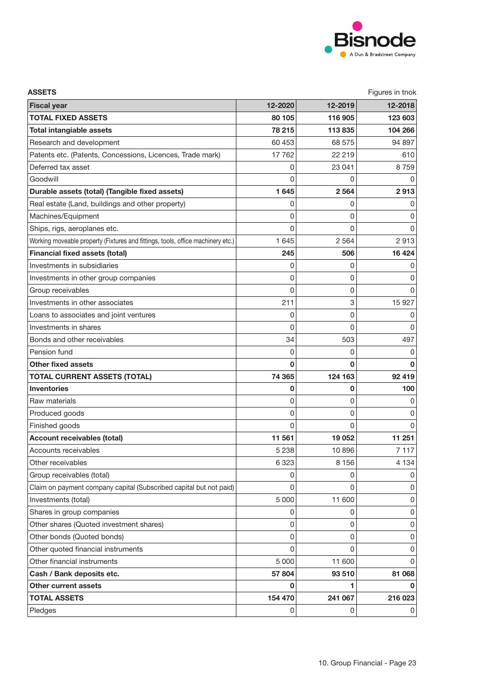

| <b>ASSETS</b>                                                                   |              |          | Figures in tnok |
|---------------------------------------------------------------------------------|--------------|----------|-----------------|
| <b>Fiscal year</b>                                                              | 12-2020      | 12-2019  | 12-2018         |
| <b>TOTAL FIXED ASSETS</b>                                                       | 80 105       | 116 905  | 123 603         |
| <b>Total intangiable assets</b>                                                 | 78 215       | 113835   | 104 266         |
| Research and development                                                        | 60 453       | 68 575   | 94 897          |
| Patents etc. (Patents, Concessions, Licences, Trade mark)                       | 17 762       | 22 219   | 610             |
| Deferred tax asset                                                              | 0            | 23 041   | 8759            |
| Goodwill                                                                        | $\Omega$     | 0        | 0               |
| Durable assets (total) (Tangible fixed assets)                                  | 1 645        | 2 5 6 4  | 2913            |
| Real estate (Land, buildings and other property)                                | 0            | 0        | 0               |
| Machines/Equipment                                                              | 0            | 0        | 0               |
| Ships, rigs, aeroplanes etc.                                                    | 0            | 0        | 0               |
| Working moveable property (Fixtures and fittings, tools, office machinery etc.) | 1 6 4 5      | 2 5 6 4  | 2913            |
| <b>Financial fixed assets (total)</b>                                           | 245          | 506      | 16 4 24         |
| Investments in subsidiaries                                                     | 0            | 0        | 0               |
| Investments in other group companies                                            | 0            | 0        | 0               |
| Group receivables                                                               | 0            | 0        | O               |
| Investments in other associates                                                 | 211          | 3        | 15 9 27         |
| Loans to associates and joint ventures                                          | 0            | 0        | 0               |
| Investments in shares                                                           | 0            | 0        | 0               |
| Bonds and other receivables                                                     | 34           | 503      | 497             |
| Pension fund                                                                    | 0            | 0        | 0               |
| <b>Other fixed assets</b>                                                       | 0            | O        |                 |
| <b>TOTAL CURRENT ASSETS (TOTAL)</b>                                             | 74 365       | 124 163  | 92 419          |
| <b>Inventories</b>                                                              | 0            | 0        | 100             |
| Raw materials                                                                   | 0            | 0        | 0               |
| Produced goods                                                                  | 0            | 0        | 0               |
| Finished goods                                                                  | $\mathbf{0}$ | 0        | 0               |
| <b>Account receivables (total)</b>                                              | 11 561       | 19 0 52  | 11 251          |
| Accounts receivables                                                            | 5 2 3 8      | 10896    | 7 1 1 7         |
| Other receivables                                                               | 6 3 2 3      | 8 1 5 6  | 4 1 3 4         |
| Group receivables (total)                                                       | 0            | 0        | 0               |
| Claim on payment company capital (Subscribed capital but not paid)              | 0            | 0        | 0               |
| Investments (total)                                                             | 5 0 0 0      | 11 600   | 0               |
| Shares in group companies                                                       | 0            | 0        | 0               |
| Other shares (Quoted investment shares)                                         | 0            | 0        | 0               |
| Other bonds (Quoted bonds)                                                      | 0            | 0        | 0               |
| Other quoted financial instruments                                              | $\Omega$     | $\Omega$ | 0               |
| Other financial instruments                                                     | 5 0 0 0      | 11 600   | 0               |
| Cash / Bank deposits etc.                                                       | 57 804       | 93 510   | 81 068          |
| Other current assets                                                            | 0            | 1        | 0               |
| <b>TOTAL ASSETS</b>                                                             | 154 470      | 241 067  | 216 023         |
| Pledges                                                                         | 0            | 0        | 0               |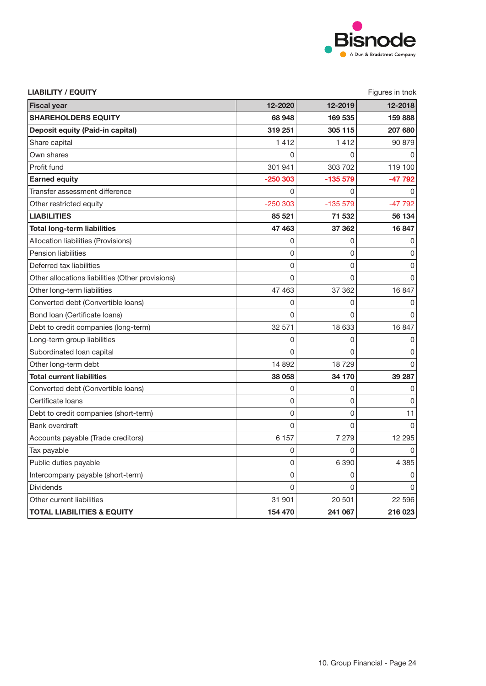

| <b>LIABILITY / EQUITY</b>                        |              |           | Figures in tnok                                       |
|--------------------------------------------------|--------------|-----------|-------------------------------------------------------|
| <b>Fiscal vear</b>                               | 12-2020      | 12-2019   | 12-2018                                               |
| <b>SHAREHOLDERS EQUITY</b>                       | 68 948       | 169 535   | 159 888                                               |
| Deposit equity (Paid-in capital)                 | 319 251      | 305 115   | 207 680                                               |
| Share capital                                    | 1412         | 1412      | 90 879                                                |
| Own shares                                       | O            | 0         | 0                                                     |
| Profit fund                                      | 301 941      | 303 702   | 119 100                                               |
| <b>Earned equity</b>                             | $-250303$    | $-135579$ | $-47792$                                              |
| Transfer assessment difference                   | 0            | 0         | 0                                                     |
| Other restricted equity                          | $-250303$    | $-135579$ | $-47792$                                              |
| <b>LIABILITIES</b>                               | 85 521       | 71 532    | 56 134                                                |
| <b>Total long-term liabilities</b>               | 47 463       | 37 362    | 16847                                                 |
| Allocation liabilities (Provisions)              | 0            | 0         | 0                                                     |
| Pension liabilities                              | 0            | 0         | 0                                                     |
| Deferred tax liabilities                         | $\mathbf{0}$ | 0         | $\overline{0}$                                        |
| Other allocations liabilities (Other provisions) | $\mathbf{0}$ | 0         | $\overline{0}$                                        |
| Other long-term liabilities                      | 47 463       | 37 362    | 16 847                                                |
| Converted debt (Convertible loans)               | 0            | 0         | $\overline{0}$                                        |
| Bond Ioan (Certificate Ioans)                    | 0            | 0         | $\overline{0}$                                        |
| Debt to credit companies (long-term)             | 32 571       | 18 633    | 16 847                                                |
| Long-term group liabilities                      | 0            | 0         | 0                                                     |
| Subordinated loan capital                        | 0            | 0         | $\overline{0}$                                        |
| Other long-term debt                             | 14 892       | 18729     | $\overline{0}$                                        |
| <b>Total current liabilities</b>                 | 38 058       | 34 170    | 39 287                                                |
| Converted debt (Convertible loans)               | 0            | 0         | 0                                                     |
| Certificate loans                                | $\mathbf{0}$ | 0         | 0                                                     |
| Debt to credit companies (short-term)            | $\mathbf{0}$ | 0         | 11                                                    |
| <b>Bank overdraft</b>                            | 0            | 0         | 0                                                     |
| Accounts payable (Trade creditors)               | 6 1 5 7      | 7 2 7 9   | 12 295                                                |
| Tax payable                                      | 0            | 0         | $\mathsf{O}\!\!\!\!\rule{0.3pt}{1.1ex}\hspace{0.5pt}$ |
| Public duties payable                            | 0            | 6 3 9 0   | 4 3 8 5                                               |
| Intercompany payable (short-term)                | 0            | 0         | $\overline{0}$                                        |
| <b>Dividends</b>                                 | 0            | 0         | $\overline{0}$                                        |
| Other current liabilities                        | 31 901       | 20 501    | 22 596                                                |
| <b>TOTAL LIABILITIES &amp; EQUITY</b>            | 154 470      | 241 067   | 216 023                                               |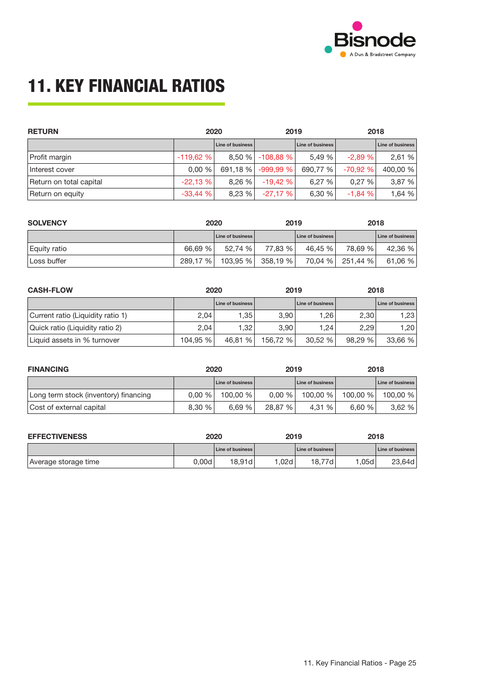

# **11. KEY FINANCIAL RATIOS**

| <b>RETURN</b>           | 2020       |                  | 2019             |                  | 2018      |                  |
|-------------------------|------------|------------------|------------------|------------------|-----------|------------------|
|                         |            | Line of business |                  | Line of business |           | Line of business |
| Profit margin           | $-119,62%$ |                  | 8,50 % -108,88 % | 5.49 %           | $-2.89%$  | 2,61 %           |
| Interest cover          | 0.00%      | 691,18 %         | $-999.99%$       | 690,77 %         | $-70.92%$ | 400.00 %         |
| Return on total capital | $-22,13%$  | 8.26%            | $-19.42%$        | 6.27%            | 0.27%     | 3,87 %           |
| Return on equity        | $-33,44%$  | 8,23%            | $-27.17%$        | 6,30 %           | $-1,84%$  | 1,64 %           |

| <b>SOLVENCY</b> | 2020     |                         | 2019     |                         | 2018     |                         |
|-----------------|----------|-------------------------|----------|-------------------------|----------|-------------------------|
|                 |          | <b>Line of business</b> |          | <b>Line of business</b> |          | <b>Line of business</b> |
| Equity ratio    | 66.69 %  | 52.74 %                 | 77.83 %  | 46.45 %                 | 78.69 %  | 42,36 %                 |
| Loss buffer     | 289,17 % | 103,95%                 | 358,19 % | 70,04 %                 | 251,44 % | 61,06 %                 |

| <b>CASH-FLOW</b><br>2020          |          | 2019             |          | 2018                    |        |                  |
|-----------------------------------|----------|------------------|----------|-------------------------|--------|------------------|
|                                   |          | Line of business |          | <b>Line of business</b> |        | Line of business |
| Current ratio (Liquidity ratio 1) | 2,04     | 1.35             | 3.90     | 1.26                    | 2,30   | 1,23             |
| Quick ratio (Liquidity ratio 2)   | 2,04     | 1.32             | 3.90     | 1.24                    | 2,29   | ا 1.20           |
| Liquid assets in % turnover       | 104.95 % | 46.81 %          | 156.72 % | 30.52%                  | 98.29% | 33,66%           |

| <b>FINANCING</b>                      | 2020   |                         | 2019    |                         | 2018     |                         |
|---------------------------------------|--------|-------------------------|---------|-------------------------|----------|-------------------------|
|                                       |        | <b>Line of business</b> |         | <b>Line of business</b> |          | <b>Line of business</b> |
| Long term stock (inventory) financing | 0.00%  | 100.00 %                | 0.00%   | 100.00 %                | 100.00 % | 100.00 %                |
| Cost of external capital              | 8.30 % | 6.69%                   | 28,87 % | 4.31 %                  | 6.60%    | 3.62%                   |

| <b>EFFECTIVENESS</b> | 2020  |                         | 2019 |                  | 2018  |                  |
|----------------------|-------|-------------------------|------|------------------|-------|------------------|
|                      |       | <b>Line of business</b> |      | Line of business |       | Line of business |
| Average storage time | 0.00d | 18.91d                  | .02d | 18.77d           | 1.05d | 23.64d           |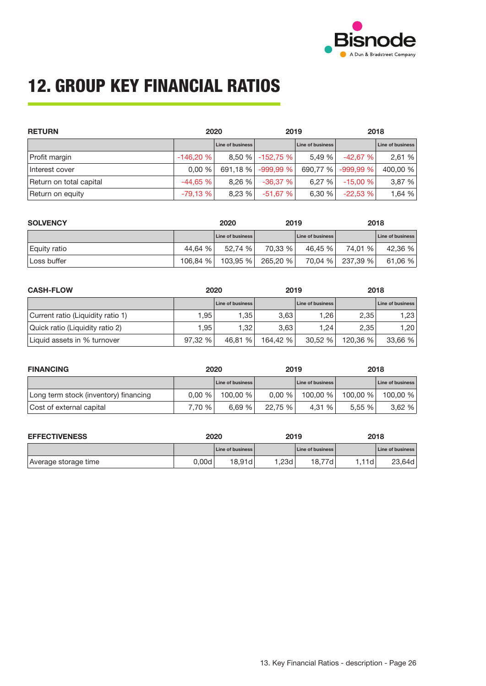

# **12. GROUP KEY FINANCIAL RATIOS**

| <b>RETURN</b>           |            | 2020             |                  | 2019             |            | 2018             |  |
|-------------------------|------------|------------------|------------------|------------------|------------|------------------|--|
|                         |            | Line of business |                  | Line of business |            | Line of business |  |
| Profit margin           | $-146,20%$ |                  | 8,50 % -152,75 % | 5.49 %           | $-42.67%$  | 2,61 %           |  |
| Interest cover          | 0.00%      | 691,18 %         | $-999.99%$       | 690.77 %         | $-999.99%$ | 400,00 %         |  |
| Return on total capital | $-44.65%$  | 8.26%            | $-36,37%$        | 6.27%            | $-15.00%$  | 3,87 %           |  |
| Return on equity        | $-79,13%$  | 8,23%            | -51,67 %         | 6,30 %           | $-22,53%$  | 1,64 %           |  |

| <b>SOLVENCY</b> |          | 2020                    | 2019     |                         | 2018     |                         |
|-----------------|----------|-------------------------|----------|-------------------------|----------|-------------------------|
|                 |          | <b>Line of business</b> |          | <b>Line of business</b> |          | <b>Line of business</b> |
| Equity ratio    | 44.64 %  | 52.74 %                 | 70,33 %  | 46.45 %                 | 74,01 %  | 42,36 %                 |
| Loss buffer     | 106.84 % | 103,95%                 | 265,20 % | 70.04 %                 | 237,39 % | 61,06 %                 |

| <b>CASH-FLOW</b><br>2020          |         | 2019                    |          | 2018                    |          |                  |
|-----------------------------------|---------|-------------------------|----------|-------------------------|----------|------------------|
|                                   |         | <b>Line of business</b> |          | <b>Line of business</b> |          | Line of business |
| Current ratio (Liquidity ratio 1) | 1.95    | 1.35                    | 3.63     | .26                     | 2,35     | 1,231            |
| Quick ratio (Liquidity ratio 2)   | 1.95    | 1.32                    | 3.63     | .24                     | 2.35     | 1.20             |
| Liquid assets in % turnover       | 97.32 % | 46.81 %                 | 164.42 % | 30.52 %                 | 120.36 % | 33,66 %          |

| <b>FINANCING</b>                      | 2020   |                         | 2019    |                         | 2018     |                         |
|---------------------------------------|--------|-------------------------|---------|-------------------------|----------|-------------------------|
|                                       |        | <b>Line of business</b> |         | <b>Line of business</b> |          | <b>Line of business</b> |
| Long term stock (inventory) financing | 0.00%  | 100.00 %                | 0.00%   | 100.00 %                | 100.00 % | 100.00 %                |
| Cost of external capital              | 7.70 % | 6.69%                   | 22.75 % | 4.31 %                  | 5.55%    | 3.62%                   |

| <b>EFFECTIVENESS</b> | 2020  |                         | 2019 |                  | 2018  |                  |
|----------------------|-------|-------------------------|------|------------------|-------|------------------|
|                      |       | <b>Line of business</b> |      | Line of business |       | Line of business |
| Average storage time | 0.00d | 18.91d                  | .23d | 18.77d           | !.11d | 23.64d           |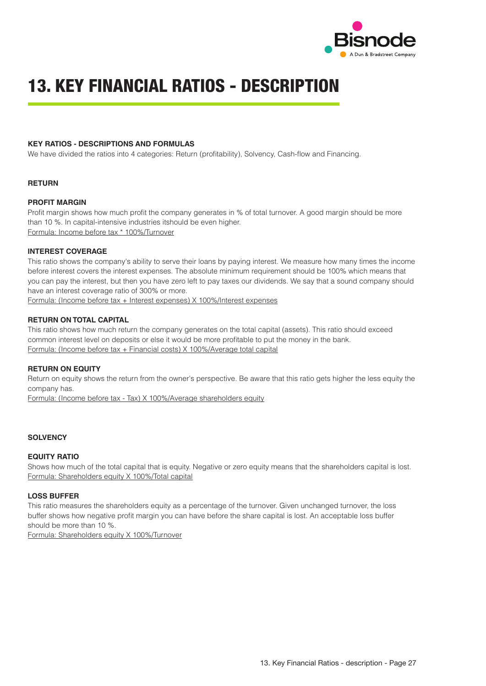

# **13. KEY FINANCIAL RATIOS - DESCRIPTION**

#### **KEY RATIOS - DESCRIPTIONS AND FORMULAS**

We have divided the ratios into 4 categories: Return (profitability), Solvency, Cash-flow and Financing.

#### **RETURN**

#### **PROFIT MARGIN**

Profit margin shows how much profit the company generates in % of total turnover. A good margin should be more than 10 %. In capital-intensive industries itshould be even higher. Formula: Income before tax \* 100%/Turnover

#### **INTEREST COVERAGE**

This ratio shows the company's ability to serve their loans by paying interest. We measure how many times the income before interest covers the interest expenses. The absolute minimum requirement should be 100% which means that you can pay the interest, but then you have zero left to pay taxes our dividends. We say that a sound company should have an interest coverage ratio of 300% or more.

Formula: (Income before tax + Interest expenses) X 100%/Interest expenses

#### **RETURN ON TOTAL CAPITAL**

This ratio shows how much return the company generates on the total capital (assets). This ratio should exceed common interest level on deposits or else it would be more profitable to put the money in the bank. Formula: (Income before tax + Financial costs) X 100%/Average total capital

#### **RETURN ON EQUITY**

Return on equity shows the return from the owner's perspective. Be aware that this ratio gets higher the less equity the company has.

Formula: (Income before tax - Tax) X 100%/Average shareholders equity

#### **SOLVENCY**

#### **EQUITY RATIO**

Shows how much of the total capital that is equity. Negative or zero equity means that the shareholders capital is lost. Formula: Shareholders equity X 100%/Total capital

#### **LOSS BUFFER**

This ratio measures the shareholders equity as a percentage of the turnover. Given unchanged turnover, the loss buffer shows how negative profit margin you can have before the share capital is lost. An acceptable loss buffer should be more than 10 %.

Formula: Shareholders equity X 100%/Turnover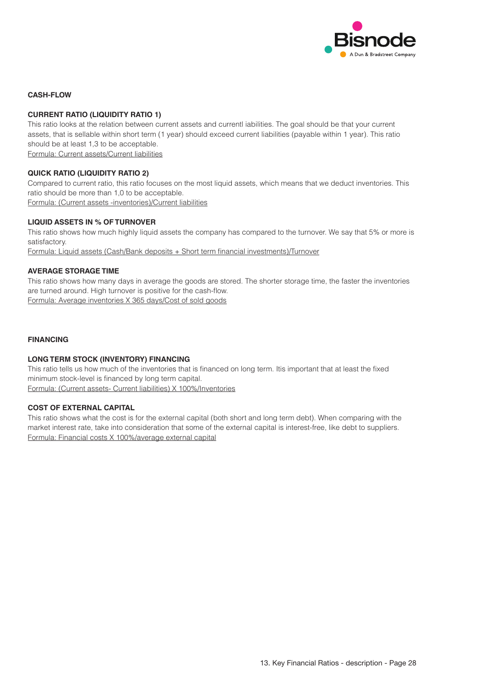

#### **CASH-FLOW**

#### **CURRENT RATIO (LIQUIDITY RATIO 1)**

This ratio looks at the relation between current assets and currentl iabilities. The goal should be that your current assets, that is sellable within short term (1 year) should exceed current liabilities (payable within 1 year). This ratio should be at least 1,3 to be acceptable. Formula: Current assets/Current liabilities

#### **QUICK RATIO (LIQUIDITY RATIO 2)**

Compared to current ratio, this ratio focuses on the most liquid assets, which means that we deduct inventories. This ratio should be more than 1,0 to be acceptable. Formula: (Current assets -inventories)/Current liabilities

#### **LIQUID ASSETS IN % OF TURNOVER**

This ratio shows how much highly liquid assets the company has compared to the turnover. We say that 5% or more is satisfactory.

Formula: Liquid assets (Cash/Bank deposits + Short term financial investments)/Turnover

#### **AVERAGE STORAGE TIME**

This ratio shows how many days in average the goods are stored. The shorter storage time, the faster the inventories are turned around. High turnover is positive for the cash-flow. Formula: Average inventories X 365 days/Cost of sold goods

#### **FINANCING**

#### **LONG TERM STOCK (INVENTORY) FINANCING**

This ratio tells us how much of the inventories that is financed on long term. Itis important that at least the fixed minimum stock-level is financed by long term capital. Formula: (Current assets- Current liabilities) X 100%/Inventories

#### **COST OF EXTERNAL CAPITAL**

This ratio shows what the cost is for the external capital (both short and long term debt). When comparing with the market interest rate, take into consideration that some of the external capital is interest-free, like debt to suppliers. Formula: Financial costs X 100%/average external capital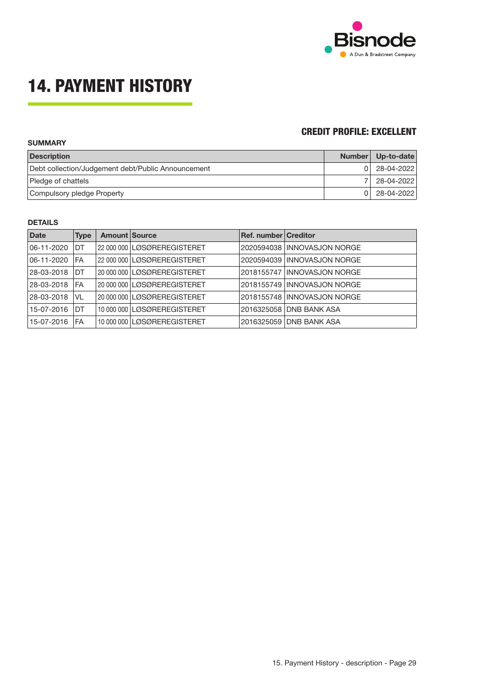

# **14. PAYMENT HISTORY**

### **CREDIT PROFILE: EXCELLENT**

| <b>SUMMARY</b>                                     |               |              |  |  |  |  |  |
|----------------------------------------------------|---------------|--------------|--|--|--|--|--|
| <b>Description</b>                                 | <b>Number</b> | $Up-to-date$ |  |  |  |  |  |
| Debt collection/Judgement debt/Public Announcement |               | 28-04-2022   |  |  |  |  |  |
| Pledge of chattels                                 |               | 28-04-2022   |  |  |  |  |  |
| Compulsory pledge Property                         |               | 28-04-2022   |  |  |  |  |  |

### **DETAILS**

| <b>Date</b> | <b>Type</b> | <b>Amount Source</b> |                               | Ref. number Creditor |                              |
|-------------|-------------|----------------------|-------------------------------|----------------------|------------------------------|
| 06-11-2020  | DT          |                      | 22 000 000 LØSØREREGISTERET   |                      | 2020594038 INNOVASJON NORGE  |
| 06-11-2020  | FA          |                      | 22 000 000 LØSØREREGISTERET   |                      | 2020594039 INNOVASJON NORGE  |
| 28-03-2018  | DT          |                      | 20 000 000 LØSØREREGISTERET   |                      | 2018155747 IINNOVASJON NORGE |
| 28-03-2018  | FA          |                      | 20 000 000 LØSØREREGISTERET   |                      | 2018155749 INNOVASJON NORGE  |
| 28-03-2018  | VL          |                      | 20 000 000 LØSØREREGISTERET   |                      | 2018155748 IINNOVASJON NORGE |
| 15-07-2016  | DT          |                      | 10 000 000 LØSØREREGISTERET   |                      | 2016325058 DNB BANK ASA      |
| 15-07-2016  | FA          |                      | 10 000 000 LL ØSØREREGISTERET | 2016325059           | <b>IDNB BANK ASA</b>         |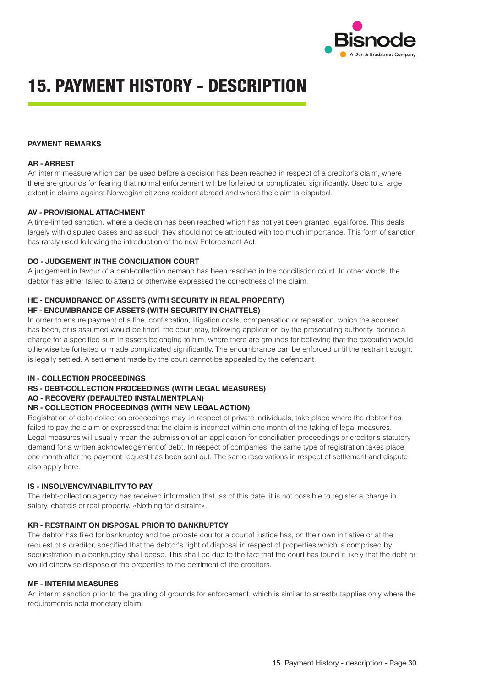

## **15. PAYMENT HISTORY - DESCRIPTION**

#### **PAYMENT REMARKS**

#### **AR - ARREST**

An interim measure which can be used before a decision has been reached in respect of a creditor's claim, where there are grounds for fearing that normal enforcement will be forfeited or complicated significantly. Used to a large extent in claims against Norwegian citizens resident abroad and where the claim is disputed.

#### **AV - PROVISIONAL ATTACHMENT**

A time-limited sanction, where a decision has been reached which has not yet been granted legal force. This deals largely with disputed cases and as such they should not be attributed with too much importance. This form of sanction has rarely used following the introduction of the new Enforcement Act.

#### **DO - JUDGEMENT IN THE CONCILIATION COURT**

A judgement in favour of a debt-collection demand has been reached in the conciliation court. In other words, the debtor has either failed to attend or otherwise expressed the correctness of the claim.

### **HE - ENCUMBRANCE OF ASSETS (WITH SECURITY IN REAL PROPERTY)**

#### **HF - ENCUMBRANCE OF ASSETS (WITH SECURITY IN CHATTELS)**

In order to ensure payment of a fine, confiscation, litigation costs, compensation or reparation, which the accused has been, or is assumed would be fined, the court may, following application by the prosecuting authority, decide a charge for a specified sum in assets belonging to him, where there are grounds for believing that the execution would otherwise be forfeited or made complicated significantly. The encumbrance can be enforced until the restraint sought is legally settled. A settlement made by the court cannot be appealed by the defendant.

#### **IN - COLLECTION PROCEEDINGS**

#### **RS - DEBT-COLLECTION PROCEEDINGS (WITH LEGAL MEASURES)**

#### **AO - RECOVERY (DEFAULTED INSTALMENTPLAN)**

#### **NR - COLLECTION PROCEEDINGS (WITH NEW LEGAL ACTION)**

Registration of debt-collection proceedings may, in respect of private individuals, take place where the debtor has failed to pay the claim or expressed that the claim is incorrect within one month of the taking of legal measures. Legal measures will usually mean the submission of an application for conciliation proceedings or creditor's statutory demand for a written acknowledgement of debt. In respect of companies, the same type of registration takes place one month after the payment request has been sent out. The same reservations in respect of settlement and dispute also apply here.

#### **IS - INSOLVENCY/INABILITY TO PAY**

The debt-collection agency has received information that, as of this date, it is not possible to register a charge in salary, chattels or real property. «Nothing for distraint».

#### **KR - RESTRAINT ON DISPOSAL PRIOR TO BANKRUPTCY**

The debtor has filed for bankruptcy and the probate courtor a courtof justice has, on their own initiative or at the request of a creditor, specified that the debtor's right of disposal in respect of properties which is comprised by sequestration in a bankruptcy shall cease. This shall be due to the fact that the court has found it likely that the debt or would otherwise dispose of the properties to the detriment of the creditors.

#### **MF - INTERIM MEASURES**

An interim sanction prior to the granting of grounds for enforcement, which is similar to arrestbutapplies only where the requirementis nota monetary claim.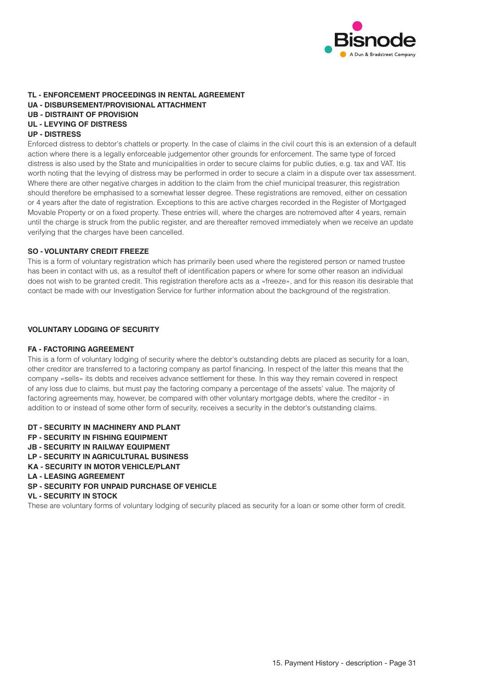

### **TL - ENFORCEMENT PROCEEDINGS IN RENTAL AGREEMENT UA - DISBURSEMENT/PROVISIONAL ATTACHMENT UB - DISTRAINT OF PROVISION UL - LEVYING OF DISTRESS**

#### **UP - DISTRESS**

Enforced distress to debtor's chattels or property. In the case of claims in the civil court this is an extension of a default action where there is a legally enforceable judgementor other grounds for enforcement. The same type of forced distress is also used by the State and municipalities in order to secure claims for public duties, e.g. tax and VAT. Itis worth noting that the levying of distress may be performed in order to secure a claim in a dispute over tax assessment. Where there are other negative charges in addition to the claim from the chief municipal treasurer, this registration should therefore be emphasised to a somewhat lesser degree. These registrations are removed, either on cessation or 4 years after the date of registration. Exceptions to this are active charges recorded in the Register of Mortgaged Movable Property or on a fixed property. These entries will, where the charges are notremoved after 4 years, remain until the charge is struck from the public register, and are thereafter removed immediately when we receive an update verifying that the charges have been cancelled.

#### **SO - VOLUNTARY CREDIT FREEZE**

This is a form of voluntary registration which has primarily been used where the registered person or named trustee has been in contact with us, as a resultof theft of identification papers or where for some other reason an individual does not wish to be granted credit. This registration therefore acts as a «freeze», and for this reason itis desirable that contact be made with our Investigation Service for further information about the background of the registration.

#### **VOLUNTARY LODGING OF SECURITY**

#### **FA - FACTORING AGREEMENT**

This is a form of voluntary lodging of security where the debtor's outstanding debts are placed as security for a loan, other creditor are transferred to a factoring company as partof financing. In respect of the latter this means that the company «sells» its debts and receives advance settlement for these. In this way they remain covered in respect of any loss due to claims, but must pay the factoring company a percentage of the assets' value. The majority of factoring agreements may, however, be compared with other voluntary mortgage debts, where the creditor - in addition to or instead of some other form of security, receives a security in the debtor's outstanding claims.

- **DT SECURITY IN MACHINERY AND PLANT**
- **FP SECURITY IN FISHING EQUIPMENT**
- **JB SECURITY IN RAILWAY EQUIPMENT**
- **LP SECURITY IN AGRICULTURAL BUSINESS**
- **KA SECURITY IN MOTOR VEHICLE/PLANT**
- **LA LEASING AGREEMENT**
- **SP SECURITY FOR UNPAID PURCHASE OF VEHICLE**

#### **VL - SECURITY IN STOCK**

These are voluntary forms of voluntary lodging of security placed as security for a loan or some other form of credit.